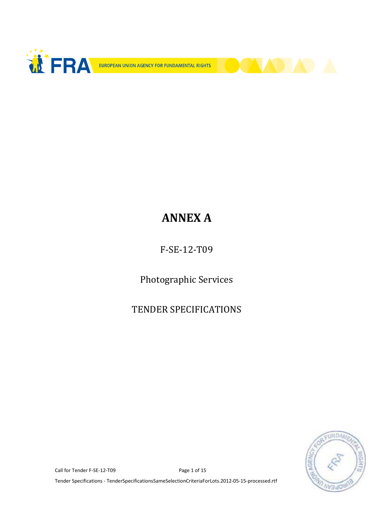



# ANNEX A

F-SE-12-T09

Photographic Services

TENDER SPECIFICATIONS



Call for Tender F-SE-12-T09 Page 1 of 15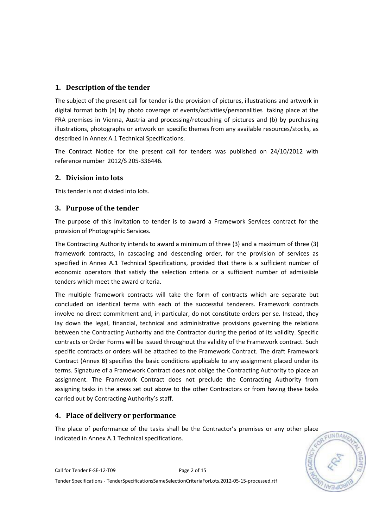# 1. Description of the tender

The subject of the present call for tender is the provision of pictures, illustrations and artwork in digital format both (a) by photo coverage of events/activities/personalities taking place at the FRA premises in Vienna, Austria and processing/retouching of pictures and (b) by purchasing illustrations, photographs or artwork on specific themes from any available resources/stocks, as described in Annex A.1 Technical Specifications.

The Contract Notice for the present call for tenders was published on 24/10/2012 with reference number 2012/S 205-336446.

# 2. Division into lots

This tender is not divided into lots.

## 3. Purpose of the tender

The purpose of this invitation to tender is to award a Framework Services contract for the provision of Photographic Services.

The Contracting Authority intends to award a minimum of three (3) and a maximum of three (3) framework contracts, in cascading and descending order, for the provision of services as specified in Annex A.1 Technical Specifications, provided that there is a sufficient number of economic operators that satisfy the selection criteria or a sufficient number of admissible tenders which meet the award criteria.

The multiple framework contracts will take the form of contracts which are separate but concluded on identical terms with each of the successful tenderers. Framework contracts involve no direct commitment and, in particular, do not constitute orders per se. Instead, they lay down the legal, financial, technical and administrative provisions governing the relations between the Contracting Authority and the Contractor during the period of its validity. Specific contracts or Order Forms will be issued throughout the validity of the Framework contract. Such specific contracts or orders will be attached to the Framework Contract. The draft Framework Contract (Annex B) specifies the basic conditions applicable to any assignment placed under its terms. Signature of a Framework Contract does not oblige the Contracting Authority to place an assignment. The Framework Contract does not preclude the Contracting Authority from assigning tasks in the areas set out above to the other Contractors or from having these tasks carried out by Contracting Authority's staff.

# 4. Place of delivery or performance

The place of performance of the tasks shall be the Contractor's premises or any other place indicated in Annex A.1 Technical specifications.

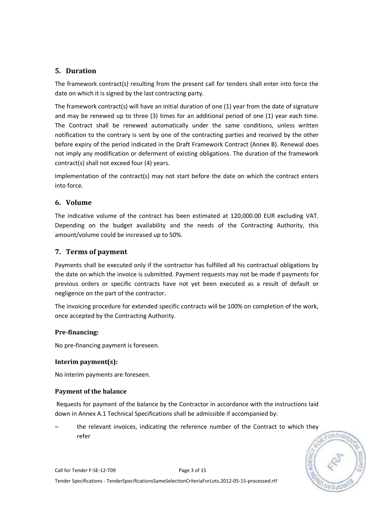# 5. Duration

The framework contract(s) resulting from the present call for tenders shall enter into force the date on which it is signed by the last contracting party.

The framework contract(s) will have an initial duration of one (1) year from the date of signature and may be renewed up to three (3) times for an additional period of one (1) year each time. The Contract shall be renewed automatically under the same conditions, unless written notification to the contrary is sent by one of the contracting parties and received by the other before expiry of the period indicated in the Draft Framework Contract (Annex B). Renewal does not imply any modification or deferment of existing obligations. The duration of the framework contract(s) shall not exceed four (4) years.

Implementation of the contract(s) may not start before the date on which the contract enters into force.

## 6. Volume

The indicative volume of the contract has been estimated at 120,000.00 EUR excluding VAT. Depending on the budget availability and the needs of the Contracting Authority, this amount/volume could be increased up to 50%.

## 7. Terms of payment

Payments shall be executed only if the contractor has fulfilled all his contractual obligations by the date on which the invoice is submitted. Payment requests may not be made if payments for previous orders or specific contracts have not yet been executed as a result of default or negligence on the part of the contractor.

The invoicing procedure for extended specific contracts will be 100% on completion of the work, once accepted by the Contracting Authority.

## Pre-financing:

No pre-financing payment is foreseen.

## Interim payment(s):

No interim payments are foreseen.

## Payment of the balance

 Requests for payment of the balance by the Contractor in accordance with the instructions laid down in Annex A.1 Technical Specifications shall be admissible if accompanied by:

– the relevant invoices, indicating the reference number of the Contract to which they refer



Call for Tender F-SE-12-T09 Page 3 of 15 Tender Specifications - TenderSpecificationsSameSelectionCriteriaForLots.2012-05-15-processed.rtf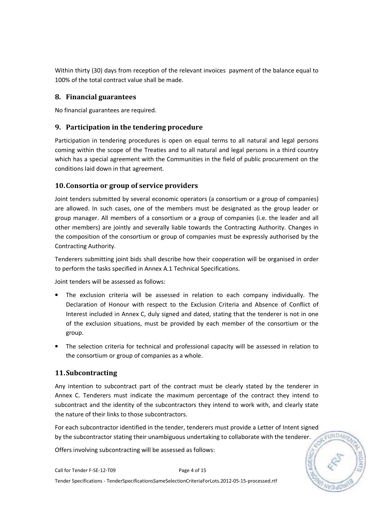Within thirty (30) days from reception of the relevant invoices payment of the balance equal to 100% of the total contract value shall be made.

## 8. Financial guarantees

No financial guarantees are required.

## 9. Participation in the tendering procedure

Participation in tendering procedures is open on equal terms to all natural and legal persons coming within the scope of the Treaties and to all natural and legal persons in a third country which has a special agreement with the Communities in the field of public procurement on the conditions laid down in that agreement.

## 10.Consortia or group of service providers

Joint tenders submitted by several economic operators (a consortium or a group of companies) are allowed. In such cases, one of the members must be designated as the group leader or group manager. All members of a consortium or a group of companies (i.e. the leader and all other members) are jointly and severally liable towards the Contracting Authority. Changes in the composition of the consortium or group of companies must be expressly authorised by the Contracting Authority.

Tenderers submitting joint bids shall describe how their cooperation will be organised in order to perform the tasks specified in Annex A.1 Technical Specifications.

Joint tenders will be assessed as follows:

- The exclusion criteria will be assessed in relation to each company individually. The Declaration of Honour with respect to the Exclusion Criteria and Absence of Conflict of Interest included in Annex C, duly signed and dated, stating that the tenderer is not in one of the exclusion situations, must be provided by each member of the consortium or the group.
- The selection criteria for technical and professional capacity will be assessed in relation to the consortium or group of companies as a whole.

## 11.Subcontracting

Any intention to subcontract part of the contract must be clearly stated by the tenderer in Annex C. Tenderers must indicate the maximum percentage of the contract they intend to subcontract and the identity of the subcontractors they intend to work with, and clearly state the nature of their links to those subcontractors.

For each subcontractor identified in the tender, tenderers must provide a Letter of Intent signed by the subcontractor stating their unambiguous undertaking to collaborate with the tenderer.

Offers involving subcontracting will be assessed as follows: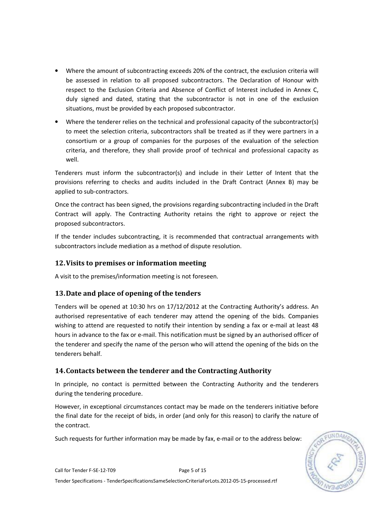- Where the amount of subcontracting exceeds 20% of the contract, the exclusion criteria will be assessed in relation to all proposed subcontractors. The Declaration of Honour with respect to the Exclusion Criteria and Absence of Conflict of Interest included in Annex C, duly signed and dated, stating that the subcontractor is not in one of the exclusion situations, must be provided by each proposed subcontractor.
- Where the tenderer relies on the technical and professional capacity of the subcontractor(s) to meet the selection criteria, subcontractors shall be treated as if they were partners in a consortium or a group of companies for the purposes of the evaluation of the selection criteria, and therefore, they shall provide proof of technical and professional capacity as well.

Tenderers must inform the subcontractor(s) and include in their Letter of Intent that the provisions referring to checks and audits included in the Draft Contract (Annex B) may be applied to sub-contractors.

Once the contract has been signed, the provisions regarding subcontracting included in the Draft Contract will apply. The Contracting Authority retains the right to approve or reject the proposed subcontractors.

If the tender includes subcontracting, it is recommended that contractual arrangements with subcontractors include mediation as a method of dispute resolution.

# 12.Visits to premises or information meeting

A visit to the premises/information meeting is not foreseen.

# 13.Date and place of opening of the tenders

Tenders will be opened at 10:30 hrs on 17/12/2012 at the Contracting Authority's address. An authorised representative of each tenderer may attend the opening of the bids. Companies wishing to attend are requested to notify their intention by sending a fax or e-mail at least 48 hours in advance to the fax or e-mail. This notification must be signed by an authorised officer of the tenderer and specify the name of the person who will attend the opening of the bids on the tenderers behalf.

# 14.Contacts between the tenderer and the Contracting Authority

In principle, no contact is permitted between the Contracting Authority and the tenderers during the tendering procedure.

However, in exceptional circumstances contact may be made on the tenderers initiative before the final date for the receipt of bids, in order (and only for this reason) to clarify the nature of the contract.

Such requests for further information may be made by fax, e-mail or to the address below:

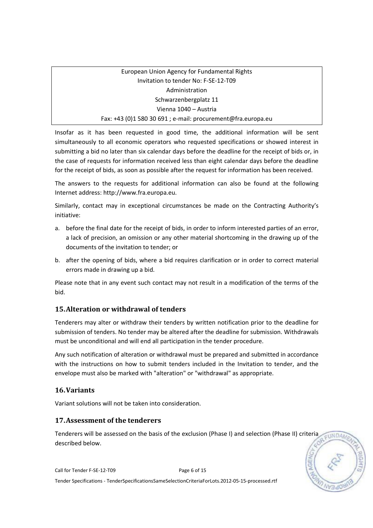# European Union Agency for Fundamental Rights Invitation to tender No: F-SE-12-T09 Administration Schwarzenbergplatz 11 Vienna 1040 – Austria Fax: +43 (0)1 580 30 691 ; e-mail: procurement@fra.europa.eu

Insofar as it has been requested in good time, the additional information will be sent simultaneously to all economic operators who requested specifications or showed interest in submitting a bid no later than six calendar days before the deadline for the receipt of bids or, in the case of requests for information received less than eight calendar days before the deadline for the receipt of bids, as soon as possible after the request for information has been received.

The answers to the requests for additional information can also be found at the following Internet address: http://www.fra.europa.eu.

Similarly, contact may in exceptional circumstances be made on the Contracting Authority's initiative:

- a. before the final date for the receipt of bids, in order to inform interested parties of an error, a lack of precision, an omission or any other material shortcoming in the drawing up of the documents of the invitation to tender; or
- b. after the opening of bids, where a bid requires clarification or in order to correct material errors made in drawing up a bid.

Please note that in any event such contact may not result in a modification of the terms of the bid.

# 15.Alteration or withdrawal of tenders

Tenderers may alter or withdraw their tenders by written notification prior to the deadline for submission of tenders. No tender may be altered after the deadline for submission. Withdrawals must be unconditional and will end all participation in the tender procedure.

Any such notification of alteration or withdrawal must be prepared and submitted in accordance with the instructions on how to submit tenders included in the Invitation to tender, and the envelope must also be marked with "alteration" or "withdrawal" as appropriate.

# 16.Variants

Variant solutions will not be taken into consideration.

# 17.Assessment of the tenderers

Tenderers will be assessed on the basis of the exclusion (Phase I) and selection (Phase II) criteria described below.

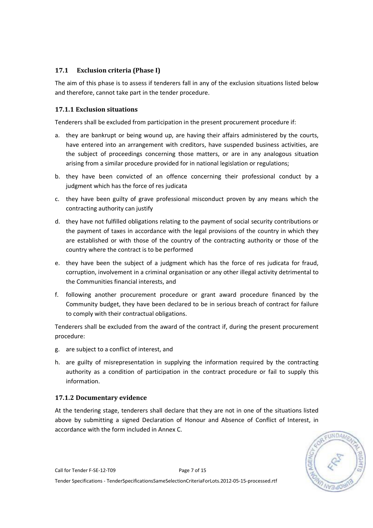## 17.1 Exclusion criteria (Phase I)

The aim of this phase is to assess if tenderers fall in any of the exclusion situations listed below and therefore, cannot take part in the tender procedure.

## 17.1.1 Exclusion situations

Tenderers shall be excluded from participation in the present procurement procedure if:

- a. they are bankrupt or being wound up, are having their affairs administered by the courts, have entered into an arrangement with creditors, have suspended business activities, are the subject of proceedings concerning those matters, or are in any analogous situation arising from a similar procedure provided for in national legislation or regulations;
- b. they have been convicted of an offence concerning their professional conduct by a judgment which has the force of res judicata
- c. they have been guilty of grave professional misconduct proven by any means which the contracting authority can justify
- d. they have not fulfilled obligations relating to the payment of social security contributions or the payment of taxes in accordance with the legal provisions of the country in which they are established or with those of the country of the contracting authority or those of the country where the contract is to be performed
- e. they have been the subject of a judgment which has the force of res judicata for fraud, corruption, involvement in a criminal organisation or any other illegal activity detrimental to the Communities financial interests, and
- f. following another procurement procedure or grant award procedure financed by the Community budget, they have been declared to be in serious breach of contract for failure to comply with their contractual obligations.

Tenderers shall be excluded from the award of the contract if, during the present procurement procedure:

- g. are subject to a conflict of interest, and
- h. are guilty of misrepresentation in supplying the information required by the contracting authority as a condition of participation in the contract procedure or fail to supply this information.

## 17.1.2 Documentary evidence

At the tendering stage, tenderers shall declare that they are not in one of the situations listed above by submitting a signed Declaration of Honour and Absence of Conflict of Interest, in accordance with the form included in Annex C.



Call for Tender F-SE-12-T09 Page 7 of 15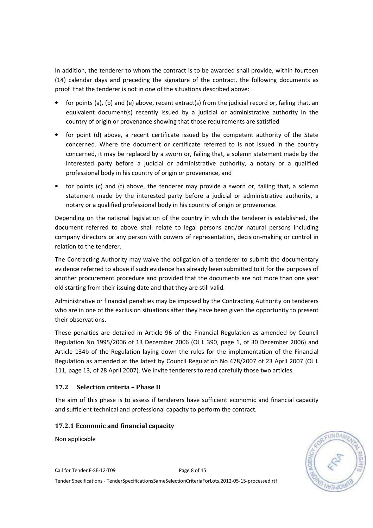In addition, the tenderer to whom the contract is to be awarded shall provide, within fourteen (14) calendar days and preceding the signature of the contract, the following documents as proof that the tenderer is not in one of the situations described above:

- for points (a), (b) and (e) above, recent extract(s) from the judicial record or, failing that, an equivalent document(s) recently issued by a judicial or administrative authority in the country of origin or provenance showing that those requirements are satisfied
- for point (d) above, a recent certificate issued by the competent authority of the State concerned. Where the document or certificate referred to is not issued in the country concerned, it may be replaced by a sworn or, failing that, a solemn statement made by the interested party before a judicial or administrative authority, a notary or a qualified professional body in his country of origin or provenance, and
- for points (c) and (f) above, the tenderer may provide a sworn or, failing that, a solemn statement made by the interested party before a judicial or administrative authority, a notary or a qualified professional body in his country of origin or provenance.

Depending on the national legislation of the country in which the tenderer is established, the document referred to above shall relate to legal persons and/or natural persons including company directors or any person with powers of representation, decision-making or control in relation to the tenderer.

The Contracting Authority may waive the obligation of a tenderer to submit the documentary evidence referred to above if such evidence has already been submitted to it for the purposes of another procurement procedure and provided that the documents are not more than one year old starting from their issuing date and that they are still valid.

Administrative or financial penalties may be imposed by the Contracting Authority on tenderers who are in one of the exclusion situations after they have been given the opportunity to present their observations.

These penalties are detailed in Article 96 of the Financial Regulation as amended by Council Regulation No 1995/2006 of 13 December 2006 (OJ L 390, page 1, of 30 December 2006) and Article 134b of the Regulation laying down the rules for the implementation of the Financial Regulation as amended at the latest by Council Regulation No 478/2007 of 23 April 2007 (OJ L 111, page 13, of 28 April 2007). We invite tenderers to read carefully those two articles.

## 17.2 Selection criteria – Phase II

The aim of this phase is to assess if tenderers have sufficient economic and financial capacity and sufficient technical and professional capacity to perform the contract.

## 17.2.1 Economic and financial capacity

Non applicable



Call for Tender F-SE-12-T09 Page 8 of 15 Tender Specifications - TenderSpecificationsSameSelectionCriteriaForLots.2012-05-15-processed.rtf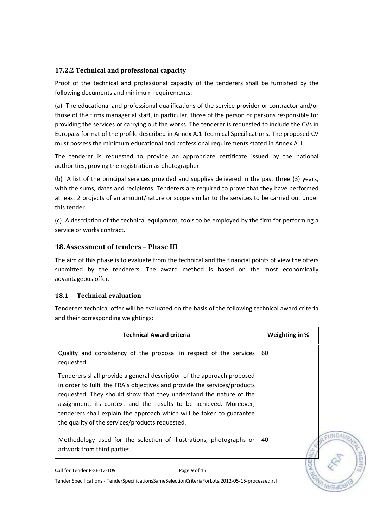## 17.2.2 Technical and professional capacity

Proof of the technical and professional capacity of the tenderers shall be furnished by the following documents and minimum requirements:

(a) The educational and professional qualifications of the service provider or contractor and/or those of the firms managerial staff, in particular, those of the person or persons responsible for providing the services or carrying out the works. The tenderer is requested to include the CVs in Europass format of the profile described in Annex A.1 Technical Specifications. The proposed CV must possess the minimum educational and professional requirements stated in Annex A.1.

The tenderer is requested to provide an appropriate certificate issued by the national authorities, proving the registration as photographer.

(b) A list of the principal services provided and supplies delivered in the past three (3) years, with the sums, dates and recipients. Tenderers are required to prove that they have performed at least 2 projects of an amount/nature or scope similar to the services to be carried out under this tender.

(c) A description of the technical equipment, tools to be employed by the firm for performing a service or works contract.

## 18.Assessment of tenders – Phase III

The aim of this phase is to evaluate from the technical and the financial points of view the offers submitted by the tenderers. The award method is based on the most economically advantageous offer.

## 18.1 Technical evaluation

Tenderers technical offer will be evaluated on the basis of the following technical award criteria and their corresponding weightings:

| <b>Technical Award criteria</b>                                                                                                                                                                                                                                                                                                                                                                                            | Weighting in % |
|----------------------------------------------------------------------------------------------------------------------------------------------------------------------------------------------------------------------------------------------------------------------------------------------------------------------------------------------------------------------------------------------------------------------------|----------------|
| Quality and consistency of the proposal in respect of the services<br>requested:                                                                                                                                                                                                                                                                                                                                           | 60             |
| Tenderers shall provide a general description of the approach proposed<br>in order to fulfil the FRA's objectives and provide the services/products<br>requested. They should show that they understand the nature of the<br>assignment, its context and the results to be achieved. Moreover,<br>tenderers shall explain the approach which will be taken to guarantee<br>the quality of the services/products requested. |                |
| Methodology used for the selection of illustrations, photographs or<br>artwork from third parties.                                                                                                                                                                                                                                                                                                                         | 40             |
| Call for Tender F-SE-12-T09<br>Page 9 of 15                                                                                                                                                                                                                                                                                                                                                                                |                |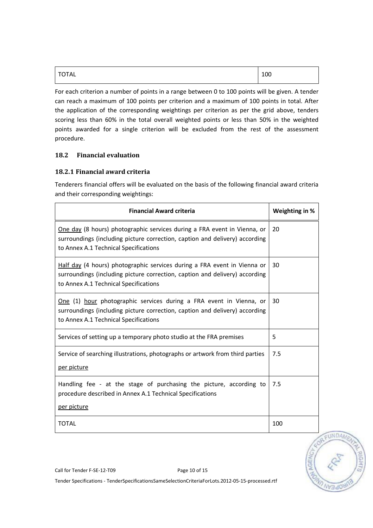| $\sim$<br>TOTAL | <br>⊥∪∪ |
|-----------------|---------|
|                 |         |

For each criterion a number of points in a range between 0 to 100 points will be given. A tender can reach a maximum of 100 points per criterion and a maximum of 100 points in total. After the application of the corresponding weightings per criterion as per the grid above, tenders scoring less than 60% in the total overall weighted points or less than 50% in the weighted points awarded for a single criterion will be excluded from the rest of the assessment procedure.

## 18.2 Financial evaluation

#### 18.2.1 Financial award criteria

Tenderers financial offers will be evaluated on the basis of the following financial award criteria and their corresponding weightings:

| <b>Financial Award criteria</b>                                                                                                                                                                  | Weighting in % |
|--------------------------------------------------------------------------------------------------------------------------------------------------------------------------------------------------|----------------|
| One day (8 hours) photographic services during a FRA event in Vienna, or<br>surroundings (including picture correction, caption and delivery) according<br>to Annex A.1 Technical Specifications | 20             |
| Half day (4 hours) photographic services during a FRA event in Vienna or<br>surroundings (including picture correction, caption and delivery) according<br>to Annex A.1 Technical Specifications | 30             |
| One (1) hour photographic services during a FRA event in Vienna, or<br>surroundings (including picture correction, caption and delivery) according<br>to Annex A.1 Technical Specifications      | 30             |
| Services of setting up a temporary photo studio at the FRA premises                                                                                                                              | 5              |
| Service of searching illustrations, photographs or artwork from third parties<br>per picture                                                                                                     | 7.5            |
| Handling fee - at the stage of purchasing the picture, according to<br>procedure described in Annex A.1 Technical Specifications<br>per picture                                                  | 7.5            |
| <b>TOTAL</b>                                                                                                                                                                                     | 100            |



Call for Tender F-SE-12-T09 Page 10 of 15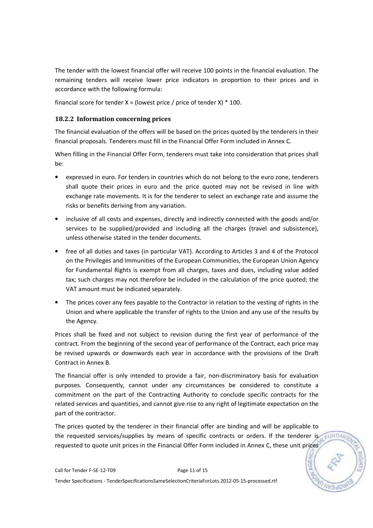The tender with the lowest financial offer will receive 100 points in the financial evaluation. The remaining tenders will receive lower price indicators in proportion to their prices and in accordance with the following formula:

financial score for tender  $X =$  (lowest price / price of tender  $X$ )  $*$  100.

## 18.2.2 Information concerning prices

The financial evaluation of the offers will be based on the prices quoted by the tenderers in their financial proposals. Tenderers must fill in the Financial Offer Form included in Annex C.

When filling in the Financial Offer Form, tenderers must take into consideration that prices shall be:

- expressed in euro. For tenders in countries which do not belong to the euro zone, tenderers shall quote their prices in euro and the price quoted may not be revised in line with exchange rate movements. It is for the tenderer to select an exchange rate and assume the risks or benefits deriving from any variation.
- inclusive of all costs and expenses, directly and indirectly connected with the goods and/or services to be supplied/provided and including all the charges (travel and subsistence), unless otherwise stated in the tender documents.
- free of all duties and taxes (in particular VAT). According to Articles 3 and 4 of the Protocol on the Privileges and Immunities of the European Communities, the European Union Agency for Fundamental Rights is exempt from all charges, taxes and dues, including value added tax; such charges may not therefore be included in the calculation of the price quoted; the VAT amount must be indicated separately.
- The prices cover any fees payable to the Contractor in relation to the vesting of rights in the Union and where applicable the transfer of rights to the Union and any use of the results by the Agency.

Prices shall be fixed and not subject to revision during the first year of performance of the contract. From the beginning of the second year of performance of the Contract, each price may be revised upwards or downwards each year in accordance with the provisions of the Draft Contract in Annex B.

The financial offer is only intended to provide a fair, non-discriminatory basis for evaluation purposes. Consequently, cannot under any circumstances be considered to constitute a commitment on the part of the Contracting Authority to conclude specific contracts for the related services and quantities, and cannot give rise to any right of legitimate expectation on the part of the contractor.

The prices quoted by the tenderer in their financial offer are binding and will be applicable to the requested services/supplies by means of specific contracts or orders. If the tenderer is requested to quote unit prices in the Financial Offer Form included in Annex C, these unit prices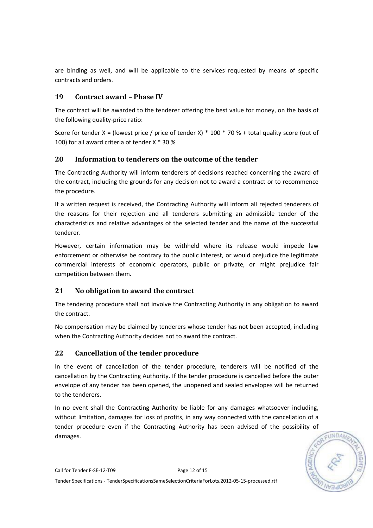are binding as well, and will be applicable to the services requested by means of specific contracts and orders.

## 19 Contract award – Phase IV

The contract will be awarded to the tenderer offering the best value for money, on the basis of the following quality-price ratio:

Score for tender X = (lowest price / price of tender X) \* 100 \* 70 % + total quality score (out of 100) for all award criteria of tender X \* 30 %

## 20 Information to tenderers on the outcome of the tender

The Contracting Authority will inform tenderers of decisions reached concerning the award of the contract, including the grounds for any decision not to award a contract or to recommence the procedure.

If a written request is received, the Contracting Authority will inform all rejected tenderers of the reasons for their rejection and all tenderers submitting an admissible tender of the characteristics and relative advantages of the selected tender and the name of the successful tenderer.

However, certain information may be withheld where its release would impede law enforcement or otherwise be contrary to the public interest, or would prejudice the legitimate commercial interests of economic operators, public or private, or might prejudice fair competition between them.

# 21 No obligation to award the contract

The tendering procedure shall not involve the Contracting Authority in any obligation to award the contract.

No compensation may be claimed by tenderers whose tender has not been accepted, including when the Contracting Authority decides not to award the contract.

# 22 Cancellation of the tender procedure

In the event of cancellation of the tender procedure, tenderers will be notified of the cancellation by the Contracting Authority. If the tender procedure is cancelled before the outer envelope of any tender has been opened, the unopened and sealed envelopes will be returned to the tenderers.

In no event shall the Contracting Authority be liable for any damages whatsoever including, without limitation, damages for loss of profits, in any way connected with the cancellation of a tender procedure even if the Contracting Authority has been advised of the possibility of damages.

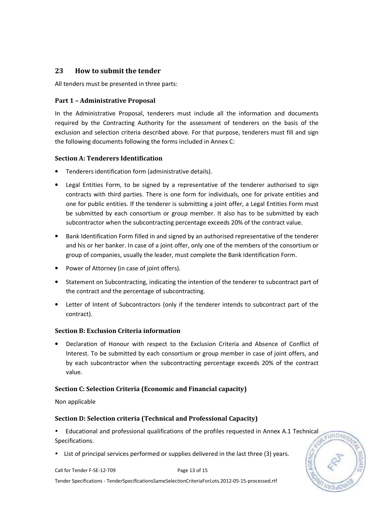## 23 How to submit the tender

All tenders must be presented in three parts:

#### Part 1 – Administrative Proposal

In the Administrative Proposal, tenderers must include all the information and documents required by the Contracting Authority for the assessment of tenderers on the basis of the exclusion and selection criteria described above. For that purpose, tenderers must fill and sign the following documents following the forms included in Annex C:

#### Section A: Tenderers Identification

- Tenderers identification form (administrative details).
- Legal Entities Form, to be signed by a representative of the tenderer authorised to sign contracts with third parties. There is one form for individuals, one for private entities and one for public entities. If the tenderer is submitting a joint offer, a Legal Entities Form must be submitted by each consortium or group member. It also has to be submitted by each subcontractor when the subcontracting percentage exceeds 20% of the contract value.
- Bank Identification Form filled in and signed by an authorised representative of the tenderer and his or her banker. In case of a joint offer, only one of the members of the consortium or group of companies, usually the leader, must complete the Bank Identification Form.
- Power of Attorney (in case of joint offers).
- Statement on Subcontracting, indicating the intention of the tenderer to subcontract part of the contract and the percentage of subcontracting.
- Letter of Intent of Subcontractors (only if the tenderer intends to subcontract part of the contract).

#### Section B: Exclusion Criteria information

• Declaration of Honour with respect to the Exclusion Criteria and Absence of Conflict of Interest. To be submitted by each consortium or group member in case of joint offers, and by each subcontractor when the subcontracting percentage exceeds 20% of the contract value.

#### Section C: Selection Criteria (Economic and Financial capacity)

Non applicable

#### Section D: Selection criteria (Technical and Professional Capacity)

 Educational and professional qualifications of the profiles requested in Annex A.1 Technical EUNDA Specifications.

List of principal services performed or supplies delivered in the last three (3) years.

Call for Tender F-SE-12-T09 Page 13 of 15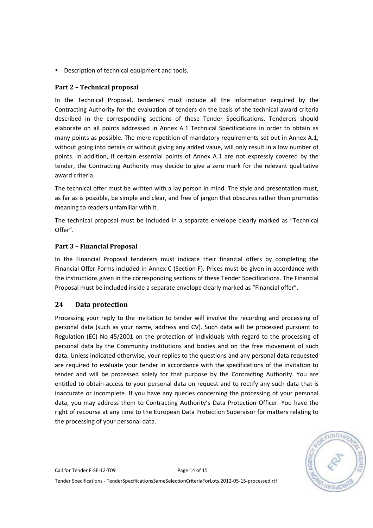Description of technical equipment and tools.

## Part 2 – Technical proposal

In the Technical Proposal, tenderers must include all the information required by the Contracting Authority for the evaluation of tenders on the basis of the technical award criteria described in the corresponding sections of these Tender Specifications. Tenderers should elaborate on all points addressed in Annex A.1 Technical Specifications in order to obtain as many points as possible. The mere repetition of mandatory requirements set out in Annex A.1, without going into details or without giving any added value, will only result in a low number of points. In addition, if certain essential points of Annex A.1 are not expressly covered by the tender, the Contracting Authority may decide to give a zero mark for the relevant qualitative award criteria.

The technical offer must be written with a lay person in mind. The style and presentation must, as far as is possible, be simple and clear, and free of jargon that obscures rather than promotes meaning to readers unfamiliar with it.

The technical proposal must be included in a separate envelope clearly marked as "Technical Offer".

#### Part 3 – Financial Proposal

In the Financial Proposal tenderers must indicate their financial offers by completing the Financial Offer Forms included in Annex C (Section F). Prices must be given in accordance with the instructions given in the corresponding sections of these Tender Specifications. The Financial Proposal must be included inside a separate envelope clearly marked as "Financial offer".

## 24 Data protection

Processing your reply to the invitation to tender will involve the recording and processing of personal data (such as your name, address and CV). Such data will be processed pursuant to Regulation (EC) No 45/2001 on the protection of individuals with regard to the processing of personal data by the Community institutions and bodies and on the free movement of such data. Unless indicated otherwise, your replies to the questions and any personal data requested are required to evaluate your tender in accordance with the specifications of the invitation to tender and will be processed solely for that purpose by the Contracting Authority. You are entitled to obtain access to your personal data on request and to rectify any such data that is inaccurate or incomplete. If you have any queries concerning the processing of your personal data, you may address them to Contracting Authority's Data Protection Officer. You have the right of recourse at any time to the European Data Protection Supervisor for matters relating to the processing of your personal data.